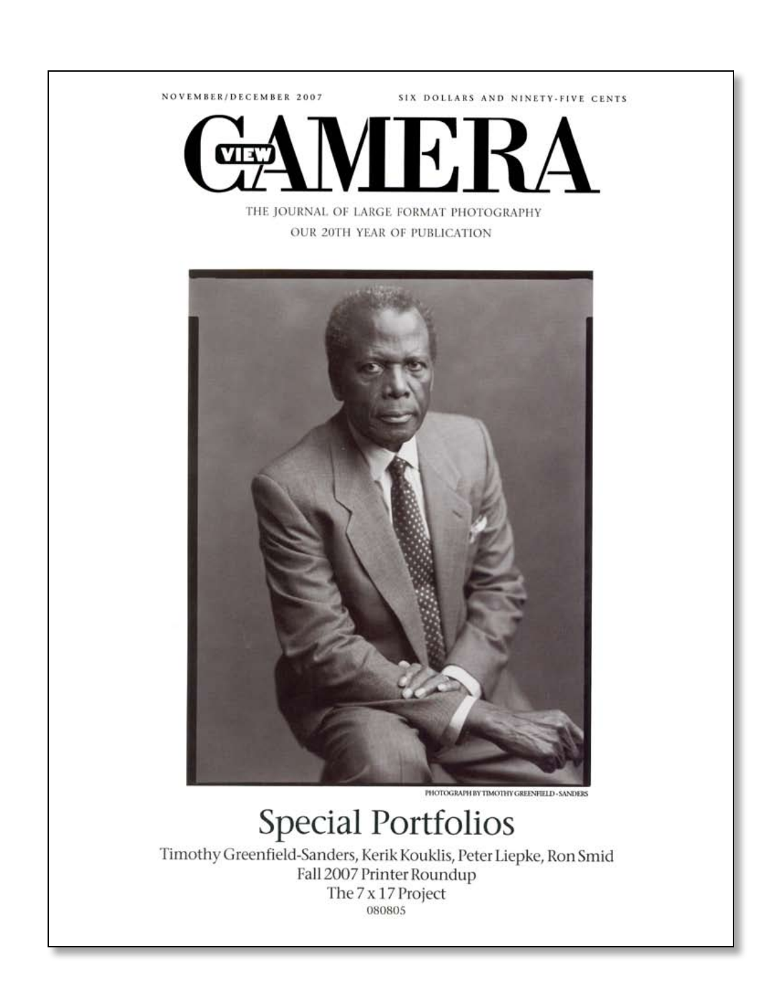NOVEMBER/DECEMBER 2007

SIX DOLLARS AND NINETY-FIVE CENTS



THE JOURNAL OF LARGE FORMAT PHOTOGRAPHY OUR 20TH YEAR OF PUBLICATION



PHOTOGRAPH BY TIMOTHY GREENFIELD - SANDERS

## **Special Portfolios**

Timothy Greenfield-Sanders, Kerik Kouklis, Peter Liepke, Ron Smid Fall 2007 Printer Roundup The 7 x 17 Project 080805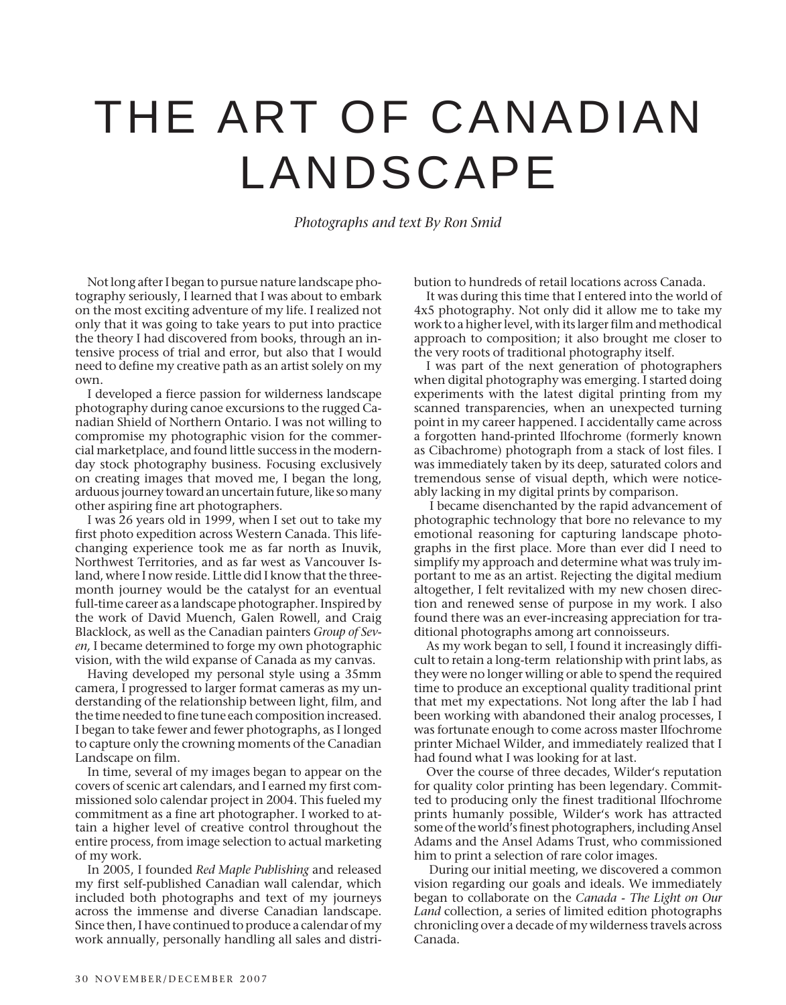## THE ART OF CANADIAN LANDSCAPE

*Photographs and text By Ron Smid*

Not long after I began to pursue nature landscape photography seriously, I learned that I was about to embark on the most exciting adventure of my life. I realized not only that it was going to take years to put into practice the theory I had discovered from books, through an intensive process of trial and error, but also that I would need to define my creative path as an artist solely on my own.

I developed a fierce passion for wilderness landscape photography during canoe excursions to the rugged Canadian Shield of Northern Ontario. I was not willing to compromise my photographic vision for the commercial marketplace, and found little success in the modernday stock photography business. Focusing exclusively on creating images that moved me, I began the long, arduous journey toward an uncertain future, like so many other aspiring fine art photographers.

I was 26 years old in 1999, when I set out to take my first photo expedition across Western Canada. This lifechanging experience took me as far north as Inuvik, Northwest Territories, and as far west as Vancouver Island, where I now reside. Little did I know that the threemonth journey would be the catalyst for an eventual full-time career as a landscape photographer. Inspired by the work of David Muench, Galen Rowell, and Craig Blacklock, as well as the Canadian painters *Group of Seven,* I became determined to forge my own photographic vision, with the wild expanse of Canada as my canvas.

Having developed my personal style using a 35mm camera, I progressed to larger format cameras as my understanding of the relationship between light, film, and the time needed to fine tune each composition increased. I began to take fewer and fewer photographs, as I longed to capture only the crowning moments of the Canadian Landscape on film.

In time, several of my images began to appear on the covers of scenic art calendars, and I earned my first commissioned solo calendar project in 2004. This fueled my commitment as a fine art photographer. I worked to attain a higher level of creative control throughout the entire process, from image selection to actual marketing of my work.

In 2005, I founded *Red Maple Publishing* and released my first self-published Canadian wall calendar, which included both photographs and text of my journeys across the immense and diverse Canadian landscape. Since then, I have continued to produce a calendar of my work annually, personally handling all sales and distribution to hundreds of retail locations across Canada.

It was during this time that I entered into the world of 4x5 photography. Not only did it allow me to take my work to a higher level, with its larger film and methodical approach to composition; it also brought me closer to the very roots of traditional photography itself.

I was part of the next generation of photographers when digital photography was emerging. I started doing experiments with the latest digital printing from my scanned transparencies, when an unexpected turning point in my career happened. I accidentally came across a forgotten hand-printed Ilfochrome (formerly known as Cibachrome) photograph from a stack of lost files. I was immediately taken by its deep, saturated colors and tremendous sense of visual depth, which were noticeably lacking in my digital prints by comparison.

 I became disenchanted by the rapid advancement of photographic technology that bore no relevance to my emotional reasoning for capturing landscape photographs in the first place. More than ever did I need to simplify my approach and determine what was truly important to me as an artist. Rejecting the digital medium altogether, I felt revitalized with my new chosen direction and renewed sense of purpose in my work. I also found there was an ever-increasing appreciation for traditional photographs among art connoisseurs.

As my work began to sell, I found it increasingly difficult to retain a long-term relationship with print labs, as they were no longer willing or able to spend the required time to produce an exceptional quality traditional print that met my expectations. Not long after the lab I had been working with abandoned their analog processes, I was fortunate enough to come across master Ilfochrome printer Michael Wilder, and immediately realized that I had found what I was looking for at last.

Over the course of three decades, Wilder's reputation for quality color printing has been legendary. Committed to producing only the finest traditional Ilfochrome prints humanly possible, Wilder's work has attracted some of the world's finest photographers, including Ansel Adams and the Ansel Adams Trust, who commissioned him to print a selection of rare color images.

 During our initial meeting, we discovered a common vision regarding our goals and ideals. We immediately began to collaborate on the *Canada - The Light on Our Land* collection, a series of limited edition photographs chronicling over a decade of my wilderness travels across Canada.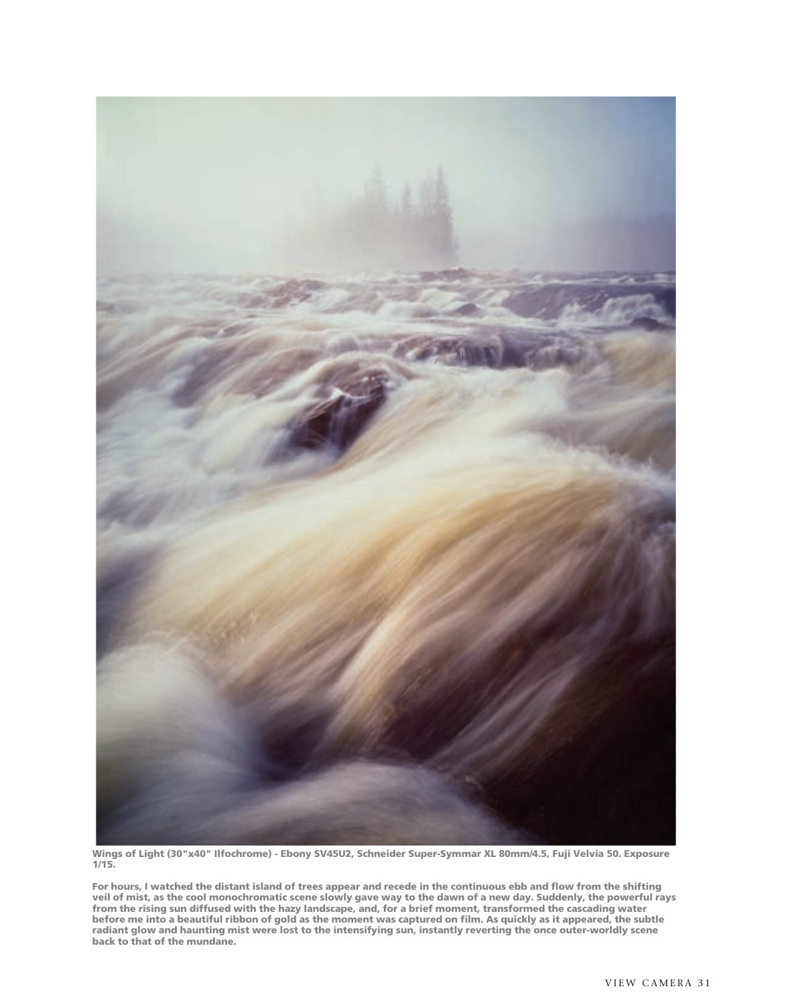

**Wings of Light (30"x40" Ilfochrome) - Ebony SV45U2, Schneider Super-Symmar XL 80mm/4.5, Fuji Velvia 50. Exposure 1/15.**

**For hours, I watched the distant island of trees appear and recede in the continuous ebb and flow from the shifting veil of mist, as the cool monochromatic scene slowly gave way to the dawn of a new day. Suddenly, the powerful rays from the rising sun diffused with the hazy landscape, and, for a brief moment, transformed the cascading water before me into a beautiful ribbon of gold as the moment was captured on film. As quickly as it appeared, the subtle radiant glow and haunting mist were lost to the intensifying sun, instantly reverting the once outer-worldly scene back to that of the mundane.**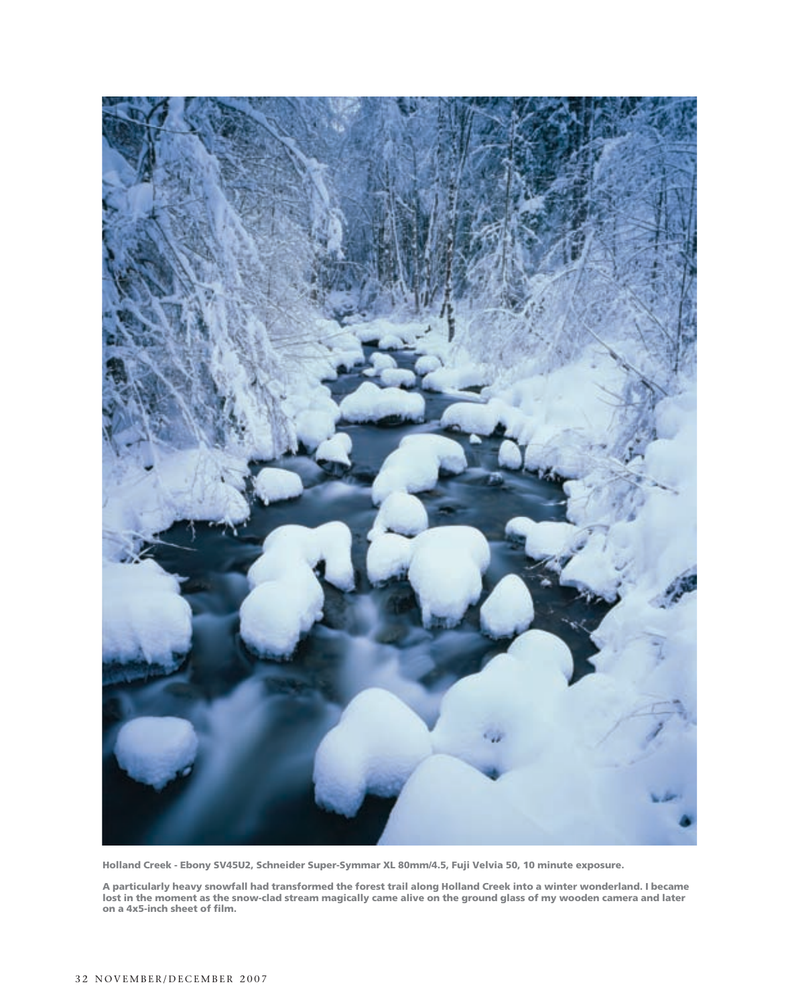

**Holland Creek - Ebony SV45U2, Schneider Super-Symmar XL 80mm/4.5, Fuji Velvia 50, 10 minute exposure.**

**A particularly heavy snowfall had transformed the forest trail along Holland Creek into a winter wonderland. I became lost in the moment as the snow-clad stream magically came alive on the ground glass of my wooden camera and later on a 4x5-inch sheet of film.**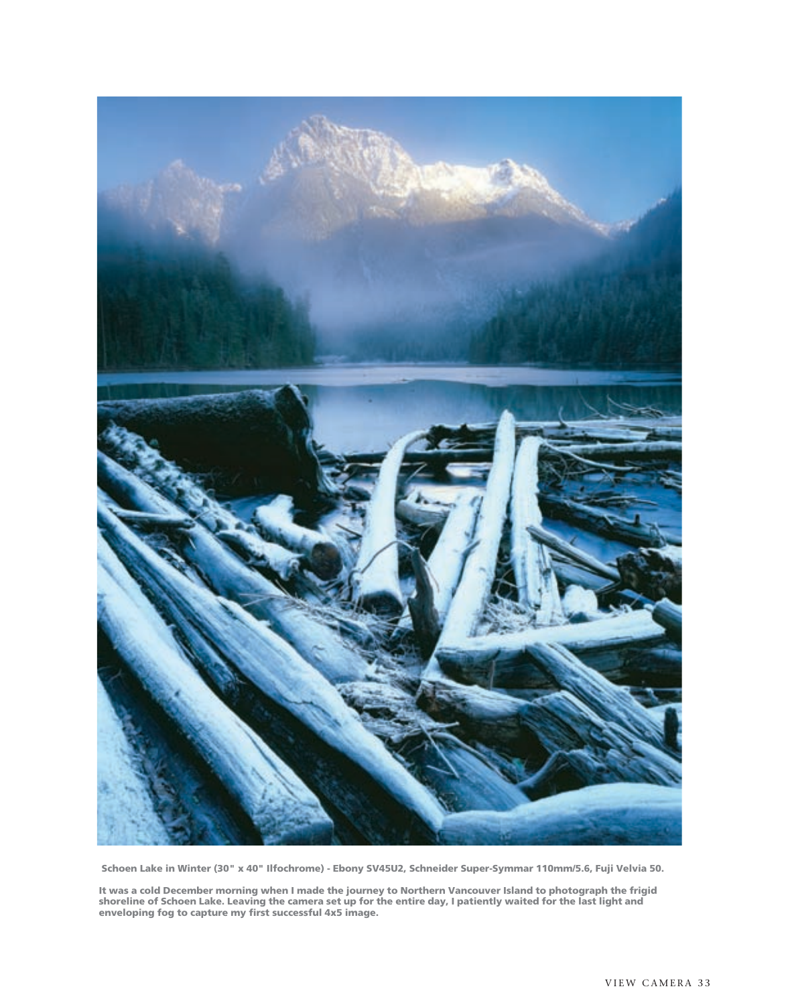

 **Schoen Lake in Winter (30" x 40" Ilfochrome) - Ebony SV45U2, Schneider Super-Symmar 110mm/5.6, Fuji Velvia 50.**

**It was a cold December morning when I made the journey to Northern Vancouver Island to photograph the frigid shoreline of Schoen Lake. Leaving the camera set up for the entire day, I patiently waited for the last light and enveloping fog to capture my first successful 4x5 image.**